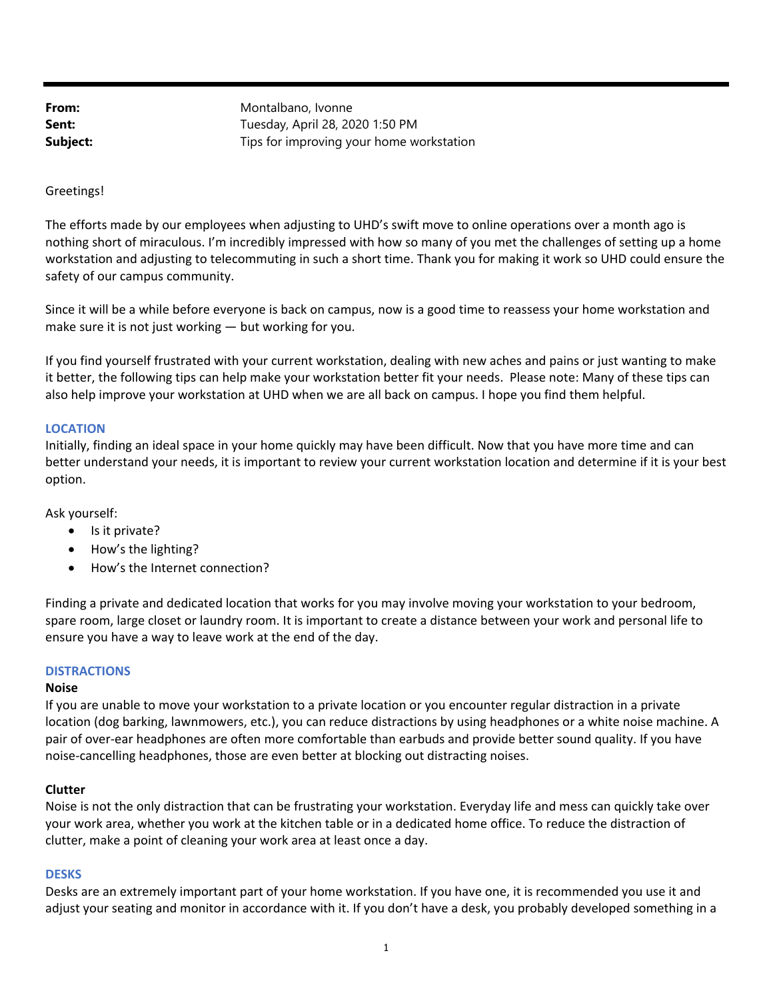From: Montalbano, Ivonne **Sent:** Tuesday, April 28, 2020 1:50 PM **Subject:** Tips for improving your home workstation

### Greetings!

The efforts made by our employees when adjusting to UHD's swift move to online operations over a month ago is nothing short of miraculous. I'm incredibly impressed with how so many of you met the challenges of setting up a home workstation and adjusting to telecommuting in such a short time. Thank you for making it work so UHD could ensure the safety of our campus community.

Since it will be a while before everyone is back on campus, now is a good time to reassess your home workstation and make sure it is not just working — but working for you.

If you find yourself frustrated with your current workstation, dealing with new aches and pains or just wanting to make it better, the following tips can help make your workstation better fit your needs. Please note: Many of these tips can also help improve your workstation at UHD when we are all back on campus. I hope you find them helpful.

### **LOCATION**

Initially, finding an ideal space in your home quickly may have been difficult. Now that you have more time and can better understand your needs, it is important to review your current workstation location and determine if it is your best option.

Ask yourself:

- $\bullet$  Is it private?
- How's the lighting?
- How's the Internet connection?

Finding a private and dedicated location that works for you may involve moving your workstation to your bedroom, spare room, large closet or laundry room. It is important to create a distance between your work and personal life to ensure you have a way to leave work at the end of the day.

### **DISTRACTIONS**

### **Noise**

If you are unable to move your workstation to a private location or you encounter regular distraction in a private location (dog barking, lawnmowers, etc.), you can reduce distractions by using headphones or a white noise machine. A pair of over-ear headphones are often more comfortable than earbuds and provide better sound quality. If you have noise-cancelling headphones, those are even better at blocking out distracting noises.

### **Clutter**

Noise is not the only distraction that can be frustrating your workstation. Everyday life and mess can quickly take over your work area, whether you work at the kitchen table or in a dedicated home office. To reduce the distraction of clutter, make a point of cleaning your work area at least once a day.

### **DESKS**

Desks are an extremely important part of your home workstation. If you have one, it is recommended you use it and adjust your seating and monitor in accordance with it. If you don't have a desk, you probably developed something in a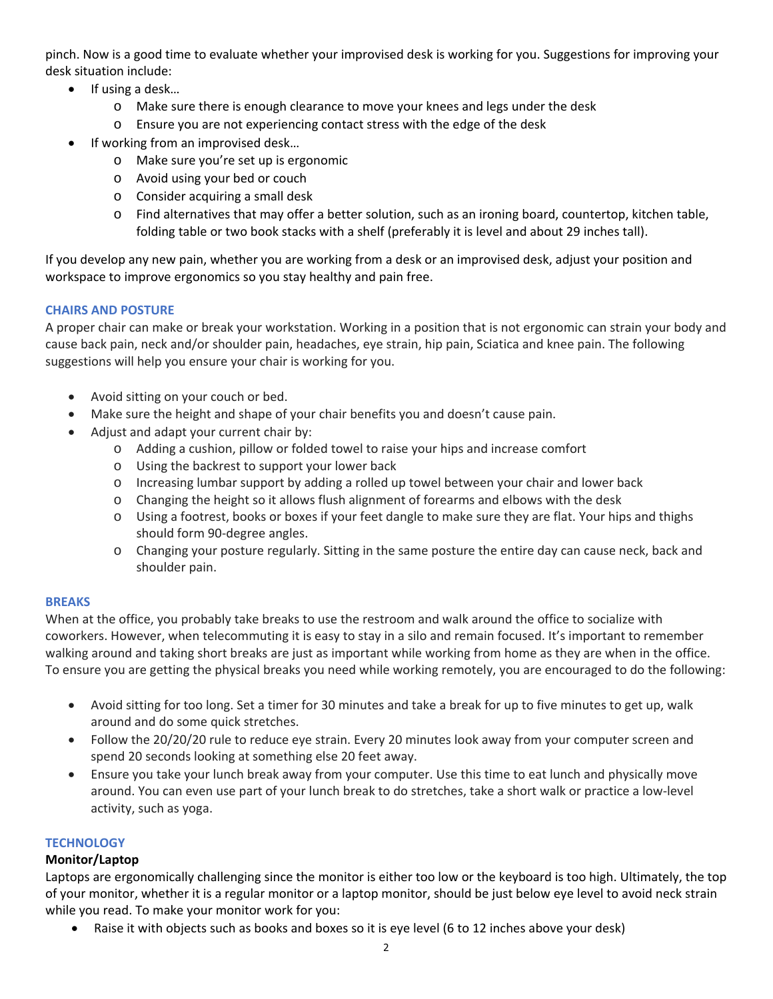pinch. Now is a good time to evaluate whether your improvised desk is working for you. Suggestions for improving your desk situation include:

- $\bullet$  If using a desk...
	- o Make sure there is enough clearance to move your knees and legs under the desk
	- o Ensure you are not experiencing contact stress with the edge of the desk
- If working from an improvised desk…
	- o Make sure you're set up is ergonomic
	- o Avoid using your bed or couch
	- o Consider acquiring a small desk
	- o Find alternatives that may offer a better solution, such as an ironing board, countertop, kitchen table, folding table or two book stacks with a shelf (preferably it is level and about 29 inches tall).

If you develop any new pain, whether you are working from a desk or an improvised desk, adjust your position and workspace to improve ergonomics so you stay healthy and pain free.

# **CHAIRS AND POSTURE**

A proper chair can make or break your workstation. Working in a position that is not ergonomic can strain your body and cause back pain, neck and/or shoulder pain, headaches, eye strain, hip pain, Sciatica and knee pain. The following suggestions will help you ensure your chair is working for you.

- Avoid sitting on your couch or bed.
- Make sure the height and shape of your chair benefits you and doesn't cause pain.
- Adjust and adapt your current chair by:
	- o Adding a cushion, pillow or folded towel to raise your hips and increase comfort
	- o Using the backrest to support your lower back
	- o Increasing lumbar support by adding a rolled up towel between your chair and lower back
	- o Changing the height so it allows flush alignment of forearms and elbows with the desk
	- o Using a footrest, books or boxes if your feet dangle to make sure they are flat. Your hips and thighs should form 90‐degree angles.
	- o Changing your posture regularly. Sitting in the same posture the entire day can cause neck, back and shoulder pain.

# **BREAKS**

When at the office, you probably take breaks to use the restroom and walk around the office to socialize with coworkers. However, when telecommuting it is easy to stay in a silo and remain focused. It's important to remember walking around and taking short breaks are just as important while working from home as they are when in the office. To ensure you are getting the physical breaks you need while working remotely, you are encouraged to do the following:

- Avoid sitting for too long. Set a timer for 30 minutes and take a break for up to five minutes to get up, walk around and do some quick stretches.
- Follow the 20/20/20 rule to reduce eye strain. Every 20 minutes look away from your computer screen and spend 20 seconds looking at something else 20 feet away.
- Ensure you take your lunch break away from your computer. Use this time to eat lunch and physically move around. You can even use part of your lunch break to do stretches, take a short walk or practice a low‐level activity, such as yoga.

# **TECHNOLOGY**

# **Monitor/Laptop**

Laptops are ergonomically challenging since the monitor is either too low or the keyboard is too high. Ultimately, the top of your monitor, whether it is a regular monitor or a laptop monitor, should be just below eye level to avoid neck strain while you read. To make your monitor work for you:

Raise it with objects such as books and boxes so it is eye level (6 to 12 inches above your desk)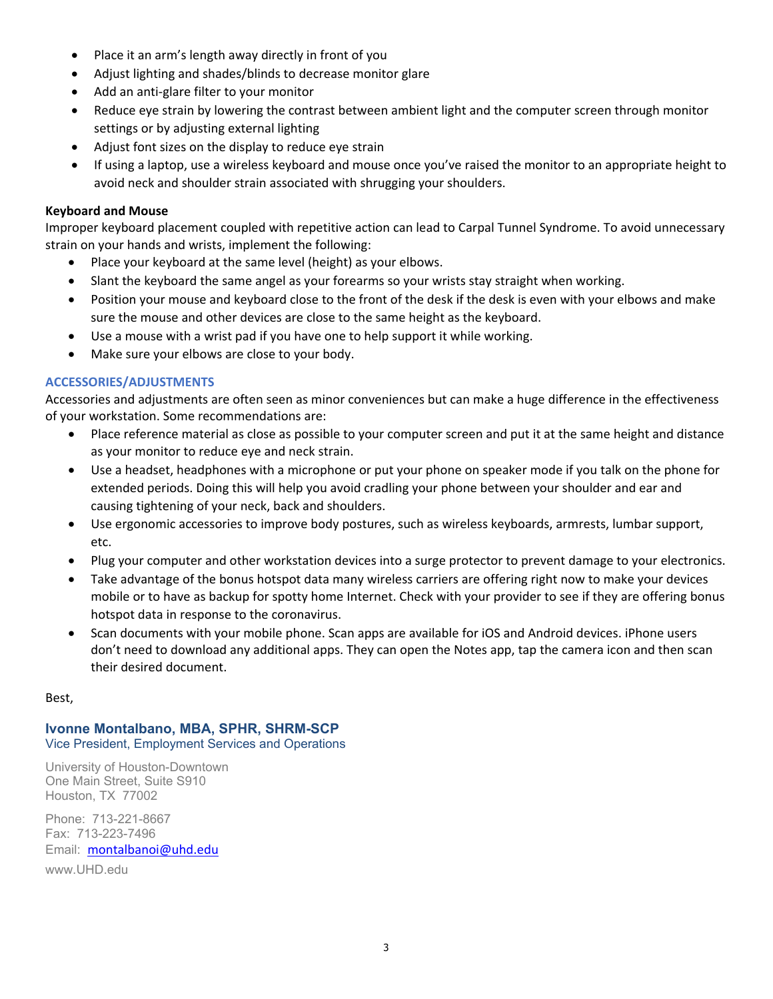- Place it an arm's length away directly in front of you
- Adjust lighting and shades/blinds to decrease monitor glare
- Add an anti-glare filter to your monitor
- Reduce eye strain by lowering the contrast between ambient light and the computer screen through monitor settings or by adjusting external lighting
- Adjust font sizes on the display to reduce eye strain
- If using a laptop, use a wireless keyboard and mouse once you've raised the monitor to an appropriate height to avoid neck and shoulder strain associated with shrugging your shoulders.

### **Keyboard and Mouse**

Improper keyboard placement coupled with repetitive action can lead to Carpal Tunnel Syndrome. To avoid unnecessary strain on your hands and wrists, implement the following:

- Place your keyboard at the same level (height) as your elbows.
- Slant the keyboard the same angel as your forearms so your wrists stay straight when working.
- Position your mouse and keyboard close to the front of the desk if the desk is even with your elbows and make sure the mouse and other devices are close to the same height as the keyboard.
- Use a mouse with a wrist pad if you have one to help support it while working.
- Make sure your elbows are close to your body.

# **ACCESSORIES/ADJUSTMENTS**

Accessories and adjustments are often seen as minor conveniences but can make a huge difference in the effectiveness of your workstation. Some recommendations are:

- Place reference material as close as possible to your computer screen and put it at the same height and distance as your monitor to reduce eye and neck strain.
- Use a headset, headphones with a microphone or put your phone on speaker mode if you talk on the phone for extended periods. Doing this will help you avoid cradling your phone between your shoulder and ear and causing tightening of your neck, back and shoulders.
- Use ergonomic accessories to improve body postures, such as wireless keyboards, armrests, lumbar support, etc.
- Plug your computer and other workstation devices into a surge protector to prevent damage to your electronics.
- Take advantage of the bonus hotspot data many wireless carriers are offering right now to make your devices mobile or to have as backup for spotty home Internet. Check with your provider to see if they are offering bonus hotspot data in response to the coronavirus.
- Scan documents with your mobile phone. Scan apps are available for iOS and Android devices. iPhone users don't need to download any additional apps. They can open the Notes app, tap the camera icon and then scan their desired document.

### Best,

# **Ivonne Montalbano, MBA, SPHR, SHRM-SCP**

Vice President, Employment Services and Operations

University of Houston-Downtown One Main Street, Suite S910 Houston, TX 77002

Phone: 713-221-8667 Fax: 713-223-7496 Email: montalbanoi@uhd.edu www.UHD.edu